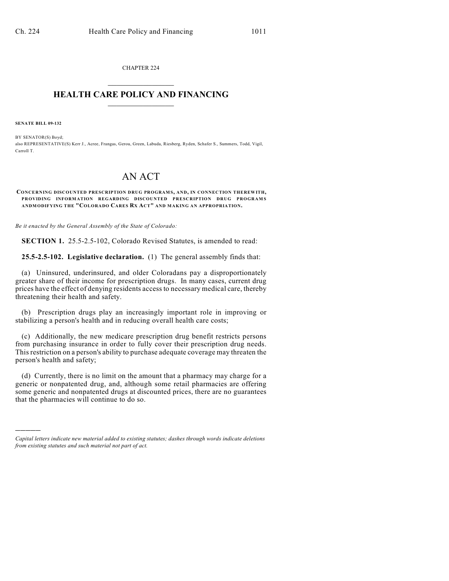CHAPTER 224  $\mathcal{L}_\text{max}$  . The set of the set of the set of the set of the set of the set of the set of the set of the set of the set of the set of the set of the set of the set of the set of the set of the set of the set of the set

## **HEALTH CARE POLICY AND FINANCING**  $\_$   $\_$   $\_$   $\_$   $\_$   $\_$   $\_$   $\_$

**SENATE BILL 09-132**

)))))

BY SENATOR(S) Boyd; also REPRESENTATIVE(S) Kerr J., Acree, Frangas, Gerou, Green, Labuda, Riesberg, Ryden, Schafer S., Summers, Todd, Vigil, Carroll T.

# AN ACT

**CONCERNING DISCOUNTED PRESCRIPTION DRUG PROGRAM S, AND, IN CONNECTION THEREWITH, PROVIDING INFORMATION REGARDING DISCOUNTED PRESCRIPTION DRUG PROGRAM S ANDMODIFYING THE "COLORADO CARES RX ACT" AND MAKING AN APPROPRIATION.**

*Be it enacted by the General Assembly of the State of Colorado:*

**SECTION 1.** 25.5-2.5-102, Colorado Revised Statutes, is amended to read:

**25.5-2.5-102. Legislative declaration.** (1) The general assembly finds that:

(a) Uninsured, underinsured, and older Coloradans pay a disproportionately greater share of their income for prescription drugs. In many cases, current drug prices have the effect of denying residents access to necessary medical care, thereby threatening their health and safety.

(b) Prescription drugs play an increasingly important role in improving or stabilizing a person's health and in reducing overall health care costs;

(c) Additionally, the new medicare prescription drug benefit restricts persons from purchasing insurance in order to fully cover their prescription drug needs. This restriction on a person's ability to purchase adequate coverage may threaten the person's health and safety;

(d) Currently, there is no limit on the amount that a pharmacy may charge for a generic or nonpatented drug, and, although some retail pharmacies are offering some generic and nonpatented drugs at discounted prices, there are no guarantees that the pharmacies will continue to do so.

*Capital letters indicate new material added to existing statutes; dashes through words indicate deletions from existing statutes and such material not part of act.*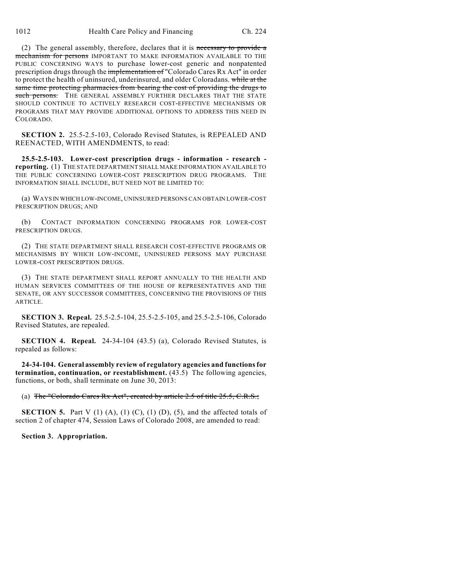(2) The general assembly, therefore, declares that it is necessary to provide a mechanism for persons IMPORTANT TO MAKE INFORMATION AVAILABLE TO THE PUBLIC CONCERNING WAYS to purchase lower-cost generic and nonpatented prescription drugs through the implementation of "Colorado Cares Rx Act" in order to protect the health of uninsured, underinsured, and older Coloradans. while at the same time protecting pharmacies from bearing the cost of providing the drugs to such persons. THE GENERAL ASSEMBLY FURTHER DECLARES THAT THE STATE SHOULD CONTINUE TO ACTIVELY RESEARCH COST-EFFECTIVE MECHANISMS OR PROGRAMS THAT MAY PROVIDE ADDITIONAL OPTIONS TO ADDRESS THIS NEED IN COLORADO.

**SECTION 2.** 25.5-2.5-103, Colorado Revised Statutes, is REPEALED AND REENACTED, WITH AMENDMENTS, to read:

**25.5-2.5-103. Lower-cost prescription drugs - information - research reporting.** (1) THE STATE DEPARTMENT SHALL MAKE INFORMATION AVAILABLE TO THE PUBLIC CONCERNING LOWER-COST PRESCRIPTION DRUG PROGRAMS. THE INFORMATION SHALL INCLUDE, BUT NEED NOT BE LIMITED TO:

(a) WAYS IN WHICH LOW-INCOME, UNINSURED PERSONS CAN OBTAIN LOWER-COST PRESCRIPTION DRUGS; AND

(b) CONTACT INFORMATION CONCERNING PROGRAMS FOR LOWER-COST PRESCRIPTION DRUGS.

(2) THE STATE DEPARTMENT SHALL RESEARCH COST-EFFECTIVE PROGRAMS OR MECHANISMS BY WHICH LOW-INCOME, UNINSURED PERSONS MAY PURCHASE LOWER-COST PRESCRIPTION DRUGS.

(3) THE STATE DEPARTMENT SHALL REPORT ANNUALLY TO THE HEALTH AND HUMAN SERVICES COMMITTEES OF THE HOUSE OF REPRESENTATIVES AND THE SENATE, OR ANY SUCCESSOR COMMITTEES, CONCERNING THE PROVISIONS OF THIS ARTICLE.

**SECTION 3. Repeal.** 25.5-2.5-104, 25.5-2.5-105, and 25.5-2.5-106, Colorado Revised Statutes, are repealed.

**SECTION 4. Repeal.** 24-34-104 (43.5) (a), Colorado Revised Statutes, is repealed as follows:

**24-34-104. General assembly review of regulatory agencies and functions for termination, continuation, or reestablishment.** (43.5) The following agencies, functions, or both, shall terminate on June 30, 2013:

(a) The "Colorado Cares  $Rx$  Act", created by article 2.5 of title 25.5, C.R.S.;

**SECTION 5.** Part V  $(1)$   $(A)$ ,  $(1)$   $(C)$ ,  $(1)$   $(D)$ ,  $(5)$ , and the affected totals of section 2 of chapter 474, Session Laws of Colorado 2008, are amended to read:

**Section 3. Appropriation.**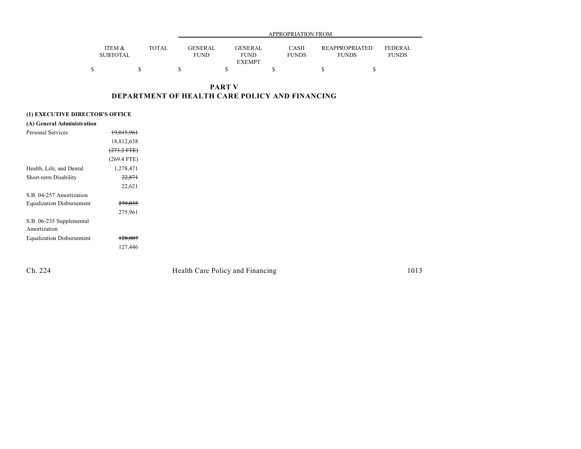|                           |              |                        | APPROPRIATION FROM                             |                             |                                |                                |  |  |  |  |  |  |
|---------------------------|--------------|------------------------|------------------------------------------------|-----------------------------|--------------------------------|--------------------------------|--|--|--|--|--|--|
| ITEM &<br><b>SUBTOTAL</b> | <b>TOTAL</b> | GENERAL<br><b>FUND</b> | <b>GENERAL</b><br><b>FUND</b><br><b>EXEMPT</b> | <b>CASH</b><br><b>FUNDS</b> | REAPPROPRIATED<br><b>FUNDS</b> | <b>FEDERAL</b><br><b>FUNDS</b> |  |  |  |  |  |  |
|                           |              |                        |                                                |                             |                                |                                |  |  |  |  |  |  |

**PART V DEPARTMENT OF HEALTH CARE POLICY AND FINANCING**

### **(1) EXECUTIVE DIRECTOR'S OFFICE**

| (A) General Administration       |                       |
|----------------------------------|-----------------------|
| Personal Services                | <del>19,015,961</del> |
|                                  | 18,812,638            |
|                                  | $(273.2 \text{ FTE})$ |
|                                  | $(269.4$ FTE)         |
| Health, Life, and Dental         | 1,278,471             |
| Short-term Disability            | <del>22,871</del>     |
|                                  | 22,621                |
| S.B. 04-257 Amortization         |                       |
| <b>Equalization Disbursement</b> | <del>279,035</del>    |
|                                  | 275,961               |
| S.B. 06-235 Supplemental         |                       |
| Amortization                     |                       |
| <b>Equalization Disbursement</b> | <del>128.887</del>    |
|                                  | 127,446               |
|                                  |                       |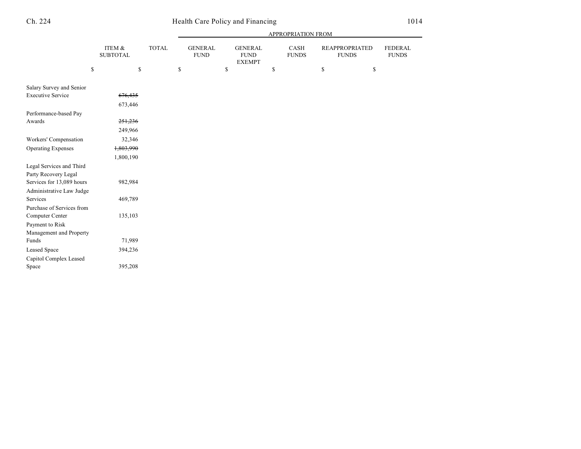|                                                  |                           |              |                               |                                                | APPROPRIATION FROM          |                                |                         |
|--------------------------------------------------|---------------------------|--------------|-------------------------------|------------------------------------------------|-----------------------------|--------------------------------|-------------------------|
|                                                  | ITEM &<br><b>SUBTOTAL</b> | <b>TOTAL</b> | <b>GENERAL</b><br><b>FUND</b> | <b>GENERAL</b><br><b>FUND</b><br><b>EXEMPT</b> | <b>CASH</b><br><b>FUNDS</b> | REAPPROPRIATED<br><b>FUNDS</b> | FEDERAL<br><b>FUNDS</b> |
|                                                  | $\mathbb{S}$<br>\$        |              | \$                            | \$                                             | \$                          | \$<br>\$                       |                         |
| Salary Survey and Senior                         |                           |              |                               |                                                |                             |                                |                         |
| <b>Executive Service</b>                         | 676,435                   |              |                               |                                                |                             |                                |                         |
|                                                  | 673,446                   |              |                               |                                                |                             |                                |                         |
| Performance-based Pay                            |                           |              |                               |                                                |                             |                                |                         |
| Awards                                           | 251,236                   |              |                               |                                                |                             |                                |                         |
|                                                  | 249,966                   |              |                               |                                                |                             |                                |                         |
| Workers' Compensation                            | 32,346                    |              |                               |                                                |                             |                                |                         |
| <b>Operating Expenses</b>                        | 1,803,990                 |              |                               |                                                |                             |                                |                         |
|                                                  | 1,800,190                 |              |                               |                                                |                             |                                |                         |
| Legal Services and Third<br>Party Recovery Legal |                           |              |                               |                                                |                             |                                |                         |
| Services for 13,089 hours                        | 982,984                   |              |                               |                                                |                             |                                |                         |
| Administrative Law Judge                         |                           |              |                               |                                                |                             |                                |                         |
| Services                                         | 469,789                   |              |                               |                                                |                             |                                |                         |
| Purchase of Services from                        |                           |              |                               |                                                |                             |                                |                         |
| Computer Center                                  | 135,103                   |              |                               |                                                |                             |                                |                         |
| Payment to Risk<br>Management and Property       |                           |              |                               |                                                |                             |                                |                         |
| Funds                                            | 71,989                    |              |                               |                                                |                             |                                |                         |
| <b>Leased Space</b>                              | 394,236                   |              |                               |                                                |                             |                                |                         |
| Capitol Complex Leased                           |                           |              |                               |                                                |                             |                                |                         |
| Space                                            | 395,208                   |              |                               |                                                |                             |                                |                         |
|                                                  |                           |              |                               |                                                |                             |                                |                         |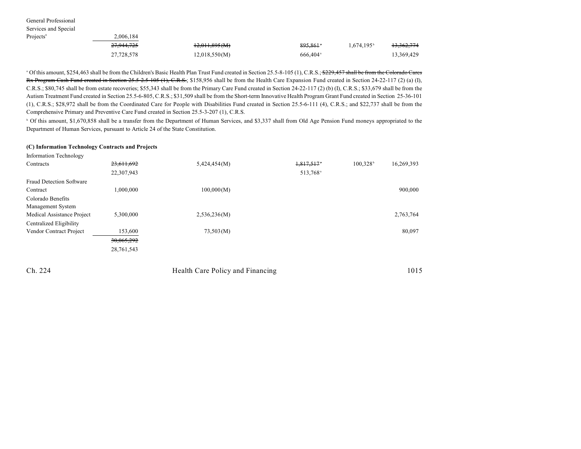| General Professional  |                       |               |                      |                     |            |
|-----------------------|-----------------------|---------------|----------------------|---------------------|------------|
| Services and Special  |                       |               |                      |                     |            |
| Projects <sup>8</sup> | 2,006,184             |               |                      |                     |            |
|                       | <del>27,944,725</del> | 12,011,895(M) | 895,861 *            | $1.674.195^{\circ}$ | 13,362,774 |
|                       | 27,728,578            | 12,018,550(M) | 666.404 <sup>ª</sup> |                     | 13,369,429 |

<sup>a</sup> Of this amount, \$254,463 shall be from the Children's Basic Health Plan Trust Fund created in Section 25.5-8-105 (1), C.R.S.; \$229,457 shall be from the Colorado Cares Rx Program Cash Fund created in Section 25.5-2.5-105 (1), C.R.S.; \$158,956 shall be from the Health Care Expansion Fund created in Section 24-22-117 (2) (a) (I), C.R.S.; \$80,745 shall be from estate recoveries; \$55,343 shall be from the Primary Care Fund created in Section 24-22-117 (2) (b) (I), C.R.S.; \$33,679 shall be from the Autism Treatment Fund created in Section 25.5-6-805, C.R.S.; \$31,509 shall be from the Short-term Innovative Health Program Grant Fund created in Section 25-36-101 (1), C.R.S.; \$28,972 shall be from the Coordinated Care for People with Disabilities Fund created in Section 25.5-6-111 (4), C.R.S.; and \$22,737 shall be from the Comprehensive Primary and Preventive Care Fund created in Section 25.5-3-207 (1), C.R.S.

<sup>b</sup> Of this amount, \$1,670,858 shall be a transfer from the Department of Human Services, and \$3,337 shall from Old Age Pension Fund moneys appropriated to the Department of Human Services, pursuant to Article 24 of the State Constitution.

#### **(C) Information Technology Contracts and Projects**

| <b>Information Technology</b>   |            |              |                      |                                      |
|---------------------------------|------------|--------------|----------------------|--------------------------------------|
| Contracts                       | 23,611,692 | 5,424,454(M) | 1,817,517            | $100,328$ <sup>b</sup><br>16,269,393 |
|                                 | 22,307,943 |              | 513,768 <sup>a</sup> |                                      |
| <b>Fraud Detection Software</b> |            |              |                      |                                      |
| Contract                        | 1,000,000  | 100,000(M)   |                      | 900,000                              |
| Colorado Benefits               |            |              |                      |                                      |
| Management System               |            |              |                      |                                      |
| Medical Assistance Project      | 5,300,000  | 2,536,236(M) |                      | 2,763,764                            |
| Centralized Eligibility         |            |              |                      |                                      |
| Vendor Contract Project         | 153,600    | 73,503(M)    |                      | 80,097                               |
|                                 | 30,065,292 |              |                      |                                      |
|                                 | 28,761,543 |              |                      |                                      |
|                                 |            |              |                      |                                      |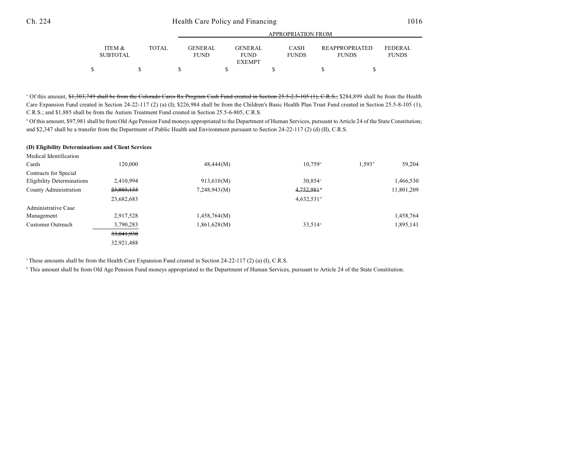## Ch. 224 Health Care Policy and Financing 1016

|                 |              |                | APPROPRIATION FROM |               |  |              |  |                       |                |  |  |
|-----------------|--------------|----------------|--------------------|---------------|--|--------------|--|-----------------------|----------------|--|--|
| ITEM &          | <b>TOTAL</b> | <b>GENERAL</b> |                    | GENERAL       |  | <b>CASH</b>  |  | <b>REAPPROPRIATED</b> | <b>FEDERAL</b> |  |  |
| <b>SUBTOTAL</b> |              | <b>FUND</b>    |                    | <b>FUND</b>   |  | <b>FUNDS</b> |  | <b>FUNDS</b>          | <b>FUNDS</b>   |  |  |
|                 |              |                |                    | <b>EXEMPT</b> |  |              |  |                       |                |  |  |
|                 |              |                |                    |               |  |              |  |                       |                |  |  |

<sup>a</sup> Of this amount, \$1,303,749 shall be from the Colorado Cares Rx Program Cash Fund created in Section 25.5-2.5-105 (1), C.R.S.; \$284,899 shall be from the Health Care Expansion Fund created in Section 24-22-117 (2) (a) (I); \$226,984 shall be from the Children's Basic Health Plan Trust Fund created in Section 25.5-8-105 (1), C.R.S.; and \$1,885 shall be from the Autism Treatment Fund created in Section 25.5-6-805, C.R.S.

<sup>b</sup> Of this amount, \$97,981 shall be from Old Age Pension Fund moneys appropriated to the Department of Human Services, pursuant to Article 24 of the State Constitution; and \$2,347 shall be a transfer from the Department of Public Health and Environment pursuant to Section 24-22-117 (2) (d) (II), C.R.S.

#### **(D) Eligibility Determinations and Client Services**

| Medical Identification            |            |              |                          |                 |            |
|-----------------------------------|------------|--------------|--------------------------|-----------------|------------|
| Cards                             | 120,000    | 48,444(M)    | $10,759$ <sup>a</sup>    | $1.593^{\circ}$ | 59,204     |
| Contracts for Special             |            |              |                          |                 |            |
| <b>Eligibility Determinations</b> | 2,410,994  | 913,610(M)   | $30,854^{\circ}$         |                 | 1,466,530  |
| County Administration             | 23,803,133 | 7,248,943(M) | $4,752,981$ <sup>+</sup> |                 | 11,801,209 |
|                                   | 23,682,683 |              | $4,632,531$ <sup>d</sup> |                 |            |
| Administrative Case               |            |              |                          |                 |            |
| Management                        | 2,917,528  | 1,458,764(M) |                          |                 | 1,458,764  |
| <b>Customer Outreach</b>          | 3,790,283  | 1,861,628(M) | $33,514$ <sup>a</sup>    |                 | 1,895,141  |
|                                   | 33,041,938 |              |                          |                 |            |
|                                   | 32,921,488 |              |                          |                 |            |

<sup>a</sup> These amounts shall be from the Health Care Expansion Fund created in Section 24-22-117 (2) (a) (I), C.R.S.

<sup>b</sup> This amount shall be from Old Age Pension Fund moneys appropriated to the Department of Human Services, pursuant to Article 24 of the State Constitution.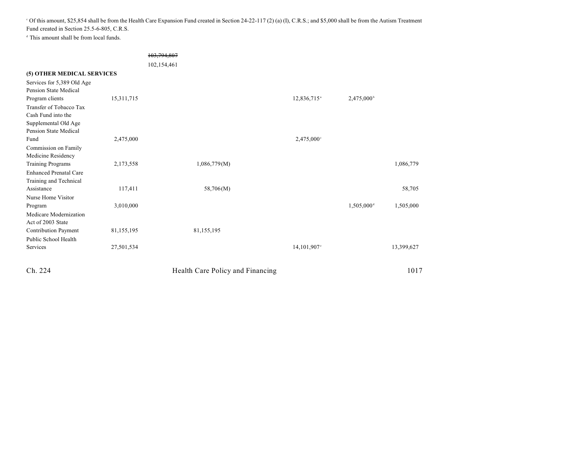Of this amount, \$25,854 shall be from the Health Care Expansion Fund created in Section 24-22-117 (2) (a) (I), C.R.S.; and \$5,000 shall be from the Autism Treatment <sup>c</sup> Fund created in Section 25.5-6-805, C.R.S.

 $d$  This amount shall be from local funds.

|                                                                                                   |            | 103,794,807                      |                         |                        |            |
|---------------------------------------------------------------------------------------------------|------------|----------------------------------|-------------------------|------------------------|------------|
|                                                                                                   |            | 102,154,461                      |                         |                        |            |
| (5) OTHER MEDICAL SERVICES                                                                        |            |                                  |                         |                        |            |
| Services for 5,389 Old Age<br>Pension State Medical<br>Program clients<br>Transfer of Tobacco Tax | 15,311,715 |                                  | 12,836,715 <sup>a</sup> | 2,475,000              |            |
| Cash Fund into the<br>Supplemental Old Age<br>Pension State Medical                               |            |                                  |                         |                        |            |
| Fund                                                                                              | 2,475,000  |                                  | 2,475,000°              |                        |            |
| Commission on Family<br>Medicine Residency                                                        |            |                                  |                         |                        |            |
| <b>Training Programs</b>                                                                          | 2,173,558  | 1,086,779(M)                     |                         |                        | 1,086,779  |
| <b>Enhanced Prenatal Care</b><br>Training and Technical                                           |            |                                  |                         |                        |            |
| Assistance                                                                                        | 117,411    | 58,706(M)                        |                         |                        | 58,705     |
| Nurse Home Visitor                                                                                |            |                                  |                         |                        |            |
| Program                                                                                           | 3,010,000  |                                  |                         | 1,505,000 <sup>d</sup> | 1,505,000  |
| Medicare Modernization<br>Act of 2003 State                                                       |            |                                  |                         |                        |            |
| <b>Contribution Payment</b>                                                                       | 81,155,195 | 81,155,195                       |                         |                        |            |
| Public School Health                                                                              |            |                                  |                         |                        |            |
| Services                                                                                          | 27,501,534 |                                  | 14,101,907°             |                        | 13,399,627 |
| Ch. 224                                                                                           |            | Health Care Policy and Financing |                         |                        | 1017       |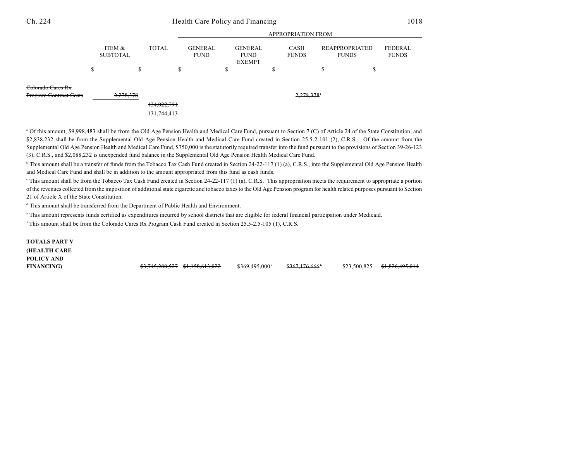## Ch. 224 Health Care Policy and Financing 1018

APPROPRIATION FROM

|                                                    |                           |           |              | APPROPRIATION FROM |                               |        |                                                |   |                             |    |                                |                         |
|----------------------------------------------------|---------------------------|-----------|--------------|--------------------|-------------------------------|--------|------------------------------------------------|---|-----------------------------|----|--------------------------------|-------------------------|
|                                                    | ITEM &<br><b>SUBTOTAL</b> |           | <b>TOTAL</b> |                    | <b>GENERAL</b><br><b>FUND</b> |        | <b>GENERAL</b><br><b>FUND</b><br><b>EXEMPT</b> |   | <b>CASH</b><br><b>FUNDS</b> |    | REAPPROPRIATED<br><b>FUNDS</b> | FEDERAL<br><b>FUNDS</b> |
|                                                    |                           | J.        |              | D.                 |                               | ¢<br>D |                                                | D |                             | \$ | ¢<br>D                         |                         |
| Colorado Cares Rx<br><b>Program Contract Costs</b> |                           | 2,278,378 | 134,022,791  |                    |                               |        |                                                |   | 2,278,378                   |    |                                |                         |
|                                                    |                           |           | 131,744,413  |                    |                               |        |                                                |   |                             |    |                                |                         |

<sup>a</sup> Of this amount, \$9,998,483 shall be from the Old Age Pension Health and Medical Care Fund, pursuant to Section 7 (C) of Article 24 of the State Constitution, and \$2,838,232 shall be from the Supplemental Old Age Pension Health and Medical Care Fund created in Section 25.5-2-101 (2), C.R.S. Of the amount from the Supplemental Old Age Pension Health and Medical Care Fund, \$750,000 is the statutorily required transfer into the fund pursuant to the provisions of Section 39-26-123 (3), C.R.S., and \$2,088,232 is unexpended fund balance in the Supplemental Old Age Pension Health Medical Care Fund.

<sup>b</sup> This amount shall be a transfer of funds from the Tobacco Tax Cash Fund created in Section 24-22-117 (1) (a), C.R.S., into the Supplemental Old Age Pension Health and Medical Care Fund and shall be in addition to the amount appropriated from this fund as cash funds.

<sup>c</sup> This amount shall be from the Tobacco Tax Cash Fund created in Section 24-22-117 (1) (a), C.R.S. This appropriation meets the requirement to appropriate a portion of the revenues collected from the imposition of additional state cigarette and tobacco taxes to the Old Age Pension program for health related purposes pursuant to Section 21 of Article X of the State Constitution.

<sup>d</sup> This amount shall be transferred from the Department of Public Health and Environment.

This amount represents funds certified as expenditures incurred by school districts that are eligible for federal financial participation under Medicaid. <sup>e</sup>

 $^{\circ}$  This amount shall be from the Colorado Cares Rx Program Cash Fund created in Section 25.5-2.5-105 (1), C.R.S.

|  | $$369,495,000^{\circ}$ | $$367,176,666$ <sup>*</sup> | \$23,500,825 <del>\$1,826,495,014</del> |
|--|------------------------|-----------------------------|-----------------------------------------|
|  |                        |                             |                                         |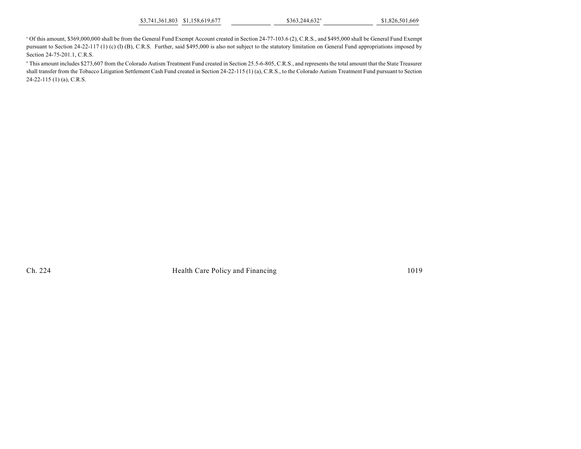\$3,741,361,803 \$1,158,619,677 \$363,244,632 \$1,826,501,669 \$1,826,501,669

 $^{\circ}$  Of this amount, \$369,000,000 shall be from the General Fund Exempt Account created in Section 24-77-103.6 (2), C.R.S., and \$495,000 shall be General Fund Exempt pursuant to Section 24-22-117 (1) (c) (I) (B), C.R.S. Further, said \$495,000 is also not subject to the statutory limitation on General Fund appropriations imposed by Section 24-75-201.1, C.R.S.

<sup>b</sup> This amount includes \$273,607 from the Colorado Autism Treatment Fund created in Section 25.5-6-805, C.R.S., and represents the total amount that the State Treasurer shall transfer from the Tobacco Litigation Settlement Cash Fund created in Section 24-22-115 (1) (a), C.R.S., to the Colorado Autism Treatment Fund pursuant to Section 24-22-115 (1) (a), C.R.S.